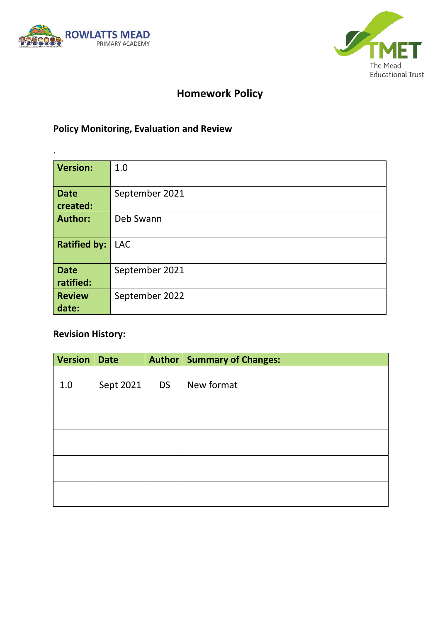

.



# **Homework Policy**

# **Policy Monitoring, Evaluation and Review**

| <b>Version:</b>          | 1.0            |  |  |  |
|--------------------------|----------------|--|--|--|
| <b>Date</b><br>created:  | September 2021 |  |  |  |
| <b>Author:</b>           | Deb Swann      |  |  |  |
| <b>Ratified by:</b>      | <b>LAC</b>     |  |  |  |
| <b>Date</b><br>ratified: | September 2021 |  |  |  |
| <b>Review</b><br>date:   | September 2022 |  |  |  |

## **Revision History:**

| <b>Version</b> | <b>Date</b> |           | Author   Summary of Changes: |
|----------------|-------------|-----------|------------------------------|
| 1.0            | Sept 2021   | <b>DS</b> | New format                   |
|                |             |           |                              |
|                |             |           |                              |
|                |             |           |                              |
|                |             |           |                              |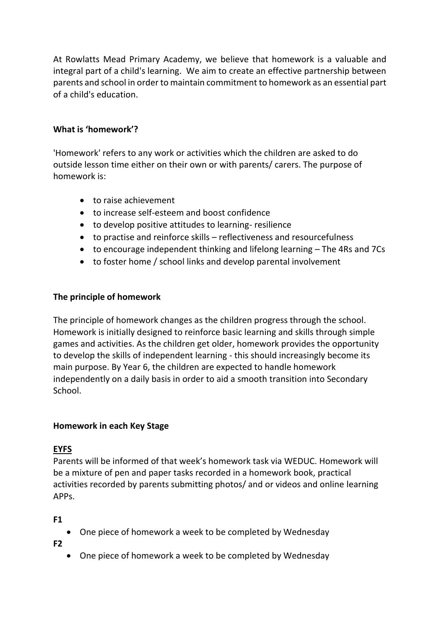At Rowlatts Mead Primary Academy, we believe that homework is a valuable and integral part of a child's learning. We aim to create an effective partnership between parents and school in order to maintain commitment to homework as an essential part of a child's education.

### **What is 'homework'?**

'Homework' refers to any work or activities which the children are asked to do outside lesson time either on their own or with parents/ carers. The purpose of homework is:

- to raise achievement
- to increase self-esteem and boost confidence
- to develop positive attitudes to learning- resilience
- to practise and reinforce skills reflectiveness and resourcefulness
- to encourage independent thinking and lifelong learning The 4Rs and 7Cs
- to foster home / school links and develop parental involvement

### **The principle of homework**

The principle of homework changes as the children progress through the school. Homework is initially designed to reinforce basic learning and skills through simple games and activities. As the children get older, homework provides the opportunity to develop the skills of independent learning - this should increasingly become its main purpose. By Year 6, the children are expected to handle homework independently on a daily basis in order to aid a smooth transition into Secondary School.

### **Homework in each Key Stage**

## **EYFS**

Parents will be informed of that week's homework task via WEDUC. Homework will be a mixture of pen and paper tasks recorded in a homework book, practical activities recorded by parents submitting photos/ and or videos and online learning APPs.

**F1** 

• One piece of homework a week to be completed by Wednesday

**F2** 

• One piece of homework a week to be completed by Wednesday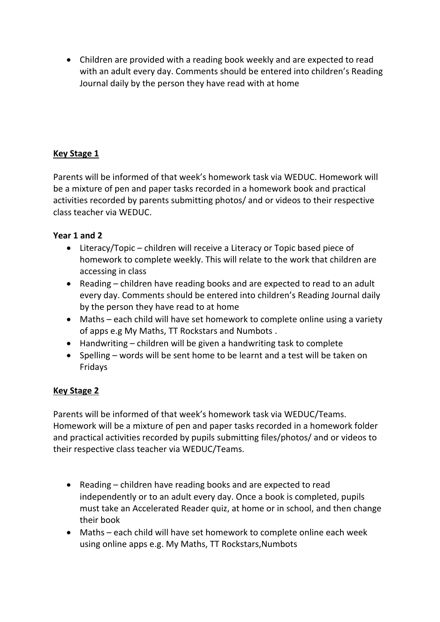• Children are provided with a reading book weekly and are expected to read with an adult every day. Comments should be entered into children's Reading Journal daily by the person they have read with at home

## **Key Stage 1**

Parents will be informed of that week's homework task via WEDUC. Homework will be a mixture of pen and paper tasks recorded in a homework book and practical activities recorded by parents submitting photos/ and or videos to their respective class teacher via WEDUC.

### **Year 1 and 2**

- Literacy/Topic children will receive a Literacy or Topic based piece of homework to complete weekly. This will relate to the work that children are accessing in class
- Reading children have reading books and are expected to read to an adult every day. Comments should be entered into children's Reading Journal daily by the person they have read to at home
- Maths each child will have set homework to complete online using a variety of apps e.g My Maths, TT Rockstars and Numbots .
- Handwriting children will be given a handwriting task to complete
- Spelling words will be sent home to be learnt and a test will be taken on Fridays

## **Key Stage 2**

Parents will be informed of that week's homework task via WEDUC/Teams. Homework will be a mixture of pen and paper tasks recorded in a homework folder and practical activities recorded by pupils submitting files/photos/ and or videos to their respective class teacher via WEDUC/Teams.

- Reading children have reading books and are expected to read independently or to an adult every day. Once a book is completed, pupils must take an Accelerated Reader quiz, at home or in school, and then change their book
- Maths each child will have set homework to complete online each week using online apps e.g. My Maths, TT Rockstars,Numbots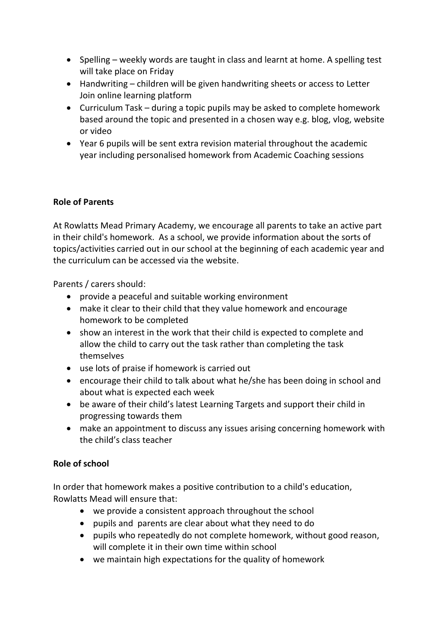- Spelling weekly words are taught in class and learnt at home. A spelling test will take place on Friday
- Handwriting children will be given handwriting sheets or access to Letter Join online learning platform
- Curriculum Task during a topic pupils may be asked to complete homework based around the topic and presented in a chosen way e.g. blog, vlog, website or video
- Year 6 pupils will be sent extra revision material throughout the academic year including personalised homework from Academic Coaching sessions

## **Role of Parents**

At Rowlatts Mead Primary Academy, we encourage all parents to take an active part in their child's homework. As a school, we provide information about the sorts of topics/activities carried out in our school at the beginning of each academic year and the curriculum can be accessed via the website.

Parents / carers should:

- provide a peaceful and suitable working environment
- make it clear to their child that they value homework and encourage homework to be completed
- show an interest in the work that their child is expected to complete and allow the child to carry out the task rather than completing the task themselves
- use lots of praise if homework is carried out
- encourage their child to talk about what he/she has been doing in school and about what is expected each week
- be aware of their child's latest Learning Targets and support their child in progressing towards them
- make an appointment to discuss any issues arising concerning homework with the child's class teacher

### **Role of school**

In order that homework makes a positive contribution to a child's education, Rowlatts Mead will ensure that:

- we provide a consistent approach throughout the school
- pupils and parents are clear about what they need to do
- pupils who repeatedly do not complete homework, without good reason, will complete it in their own time within school
- we maintain high expectations for the quality of homework